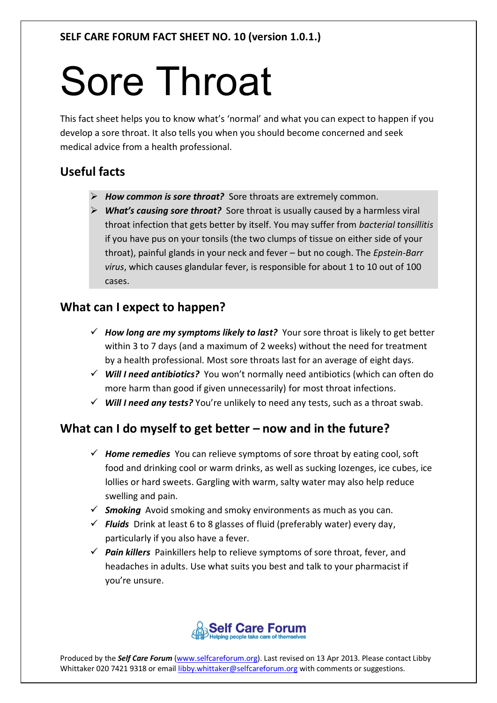# Sore Throat

This fact sheet helps you to know what's 'normal' and what you can expect to happen if you develop a sore throat. It also tells you when you should become concerned and seek medical advice from a health professional.

## **Useful facts**

- *How common is sore throat?* Sore throats are extremely common.
- *What's causing sore throat?* Sore throat is usually caused by a harmless viral throat infection that gets better by itself. You may suffer from *bacterial tonsillitis* if you have pus on your tonsils (the two clumps of tissue on either side of your throat), painful glands in your neck and fever – but no cough. The *Epstein-Barr virus*, which causes glandular fever, is responsible for about 1 to 10 out of 100 cases.

### **What can I expect to happen?**

- *How long are my symptoms likely to last?* Your sore throat is likely to get better within 3 to 7 days (and a maximum of 2 weeks) without the need for treatment by a health professional. Most sore throats last for an average of eight days.
- *Will I need antibiotics?* You won't normally need antibiotics (which can often do more harm than good if given unnecessarily) for most throat infections.
- *Will I need any tests?* You're unlikely to need any tests, such as a throat swab.

## **What can I do myself to get better – now and in the future?**

- *Home remedies* You can relieve symptoms of sore throat by eating cool, soft food and drinking cool or warm drinks, as well as sucking lozenges, ice cubes, ice lollies or hard sweets. Gargling with warm, salty water may also help reduce swelling and pain.
- *Smoking* Avoid smoking and smoky environments as much as you can.
- *Fluids* Drink at least 6 to 8 glasses of fluid (preferably water) every day, particularly if you also have a fever.
- *Pain killers* Painkillers help to relieve symptoms of sore throat, fever, and headaches in adults. Use what suits you best and talk to your pharmacist if you're unsure.



Produced by the *Self Care Forum* (www.selfcareforum.org). Last revised on 13 Apr 2013. Please contact Libby Whittaker 020 7421 9318 or email libby.whittaker@selfcareforum.org with comments or suggestions.